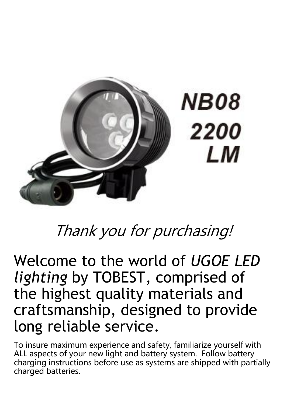

# Thank you for purchasing!

Welcome to the world of *UGOE LED lighting* by TOBEST, comprised of the highest quality materials and craftsmanship, designed to provide long reliable service.

To insure maximum experience and safety, familiarize yourself with ALL aspects of your new light and battery system. Follow battery charging instructions before use as systems are shipped with partially charged batteries.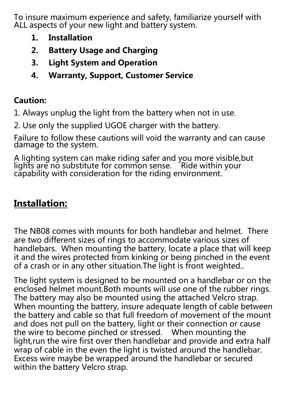To insure maximum experience and safety, familiarize yourself with ALL aspects of your new light and battery system.

- 1. Installation
- 2. Battery Usage and Charging
- 3. Light System and Operation
- 4. Warranty, Support, Customer Service

## Caution:

1. Always unplug the light from the battery when not in use.

2. Use only the supplied UGOE charger with the battery.

Failure to follow these cautions will void the warranty and can cause damage to the system.

A lighting system can make riding safer and you more visible,but lights are no substitute for common sense. Ride within your capability with consideration for the riding environment.

# **Installation:**

The NB08 comes with mounts for both handlebar and helmet. There are two different sizes of rings to accommodate various sizes of handlebars. When mounting the battery, locate a place that will keep it and the wires protected from kinking or being pinched in the event of a crash or in any other situation.The light is front weighted..

The light system is designed to be mounted on a handlebar or on the enclosed helmet mount.Both mounts will use one of the rubber rings. The battery may also be mounted using the attached Velcro strap. When mounting the battery, insure adequate length of cable between the battery and cable so that full freedom of movement of the mount and does not pull on the battery, light or their connection or cause the wire to become pinched or stressed. When mounting the light,run the wire first over then handlebar and provide and extra half wrap of cable in the even the light is twisted around the handlebar. Excess wire maybe be wrapped around the handlebar or secured within the battery Velcro strap.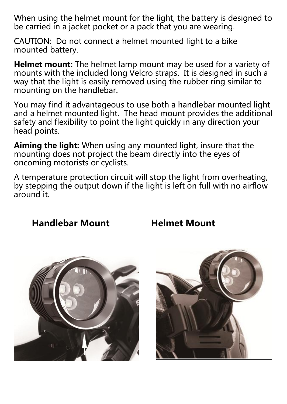When using the helmet mount for the light, the battery is designed to be carried in a jacket pocket or a pack that you are wearing.

CAUTION: Do not connect a helmet mounted light to a bike mounted battery.

Helmet mount: The helmet lamp mount may be used for a variety of mounts with the included long Velcro straps. It is designed in such a way that the light is easily removed using the rubber ring similar to mounting on the handlebar.

You may find it advantageous to use both a handlebar mounted light and a helmet mounted light. The head mount provides the additional safety and flexibility to point the light quickly in any direction your head points.

Aiming the light: When using any mounted light, insure that the mounting does not project the beam directly into the eyes of oncoming motorists or cyclists.

A temperature protection circuit will stop the light from overheating, by stepping the output down if the light is left on full with no airflow around it.

### Handlebar Mount Helmet Mount



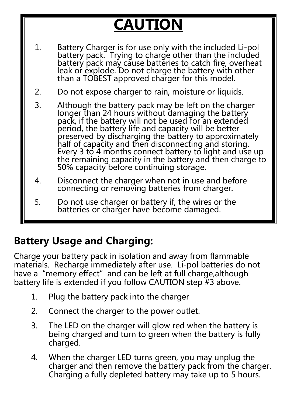# **CAUTION**

- 1. Battery Charger is for use only with the included Li-pol battery pack. Trying to charge other than the included battery pack may cause batteries to catch fire, overheat leak of explode. Do not charge the battery with other than a TOBEST approved charger for this model.
- 2. Do not expose charger to rain, moisture or liquids.
- 3. Although the battery pack may be left on the charger longer than 24 hours without damaging the battery pack, if the battery will not be used for an extended period, the battery life and capacity will be better preserved by discharging the battery to approximately half of capacity and then disconnecting and storing. Every 3 to 4 months connect battery to light and use up the remaining capacity in the battery and then charge to 50% capacity before continuing storage.
- 4. Disconnect the charger when not in use and before connecting or removing batteries from charger.
- 5. Do not use charger or battery if, the wires or the batteries or charger have become damaged.

# Battery Usage and Charging:

Charge your battery pack in isolation and away from flammable materials. Recharge immediately after use. Li-pol batteries do not have a "memory effect" and can be left at full charge, although battery life is extended if you follow CAUTION step #3 above.

- 1. Plug the battery pack into the charger
- 2. Connect the charger to the power outlet.
- 3. The LED on the charger will glow red when the battery is being charged and turn to green when the battery is fully charged.
- 4. When the charger LED turns green, you may unplug the charger and then remove the battery pack from the charger. Charging a fully depleted battery may take up to 5 hours.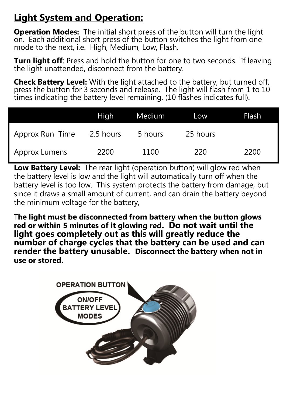# **Light System and Operation:**

**Operation Modes:** The initial short press of the button will turn the light on. Each additional short press of the button switches the light from one mode to the next, i.e. High, Medium, Low, Flash.

**Turn light off:** Press and hold the button for one to two seconds. If leaving the light unattended, disconnect from the battery.

**Check Battery Level:** With the light attached to the battery, but turned off, press the button for 3 seconds and release. The light will flash from 1 to 10 times indicating the battery level remaining. (10 flashes indicates full).

|                 | High      | Medium  | Low      | Flash |
|-----------------|-----------|---------|----------|-------|
| Approx Run Time | 2.5 hours | 5 hours | 25 hours |       |
| Approx Lumens   | 2200      | 1100    | 220      | 2200  |

**Low Battery Level:** The rear light (operation button) will glow red when the battery level is low and the light will automatically turn off when the battery level is too low. This system protects the battery from damage, but since it draws a small amount of current, and can drain the battery beyond the minimum voltage for the battery,

T**he light must be disconnected from battery when the button glows red or within 5 minutes of it glowing red. Do not wait until the light goes completely out as this will greatly reduce the number of charge cycles that the battery can be used and can render the battery unusable. Disconnect the battery when not in use or stored.**

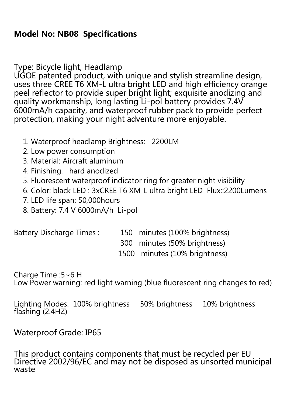## Model No: NB08 Specifications

Type: Bicycle light, Headlamp

UGOE patented product, with unique and stylish streamline design, uses three CREE T6 XM-L ultra bright LED and high efficiency orange peel reflector to provide super bright light; exquisite anodizing and quality workmanship, long lasting Li-pol battery provides 7.4V 6000mA/h capacity, and waterproof rubber pack to provide perfect protection, making your night adventure more enjoyable.

- 1. Waterproof headlamp Brightness: 2200LM
- 2. Low power consumption
- 3. Material: Aircraft aluminum
- 4. Finishing: hard anodized
- 5. Fluorescent waterproof indicator ring for greater night visibility
- 6. Color: black LED : 3xCREE T6 XM-L ultra bright LED Flux::2200Lumens
- 7. LED life span: 50,000hours
- 8. Battery: 7.4 V 6000mA/h Li-pol

Battery Discharge Times : 150 minutes (100% brightness)

300 minutes (50% brightness)

1500 minutes (10% brightness)

Charge Time :5~6 H

Low Power warning: red light warning (blue fluorescent ring changes to red)

Lighting Modes: 100% brightness 50% brightness 10% brightness flashing (2.4HZ)

#### Waterproof Grade: IP65

This product contains components that must be recycled per EU Directive 2002/96/EC and may not be disposed as unsorted municipal waste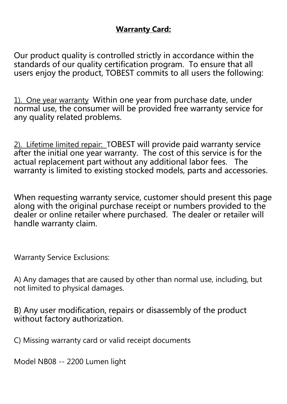#### **Warranty Card:**

Our product quality is controlled strictly in accordance within the standards of our quality certification program. To ensure that all users enjoy the product, TOBEST commits to all users the following:

1). One year warranty Within one year from purchase date, under normal use, the consumer will be provided free warranty service for any quality related problems.

2). Lifetime limited repair: TOBEST will provide paid warranty service after the initial one year warranty. The cost of this service is for the actual replacement part without any additional labor fees. The warranty is limited to existing stocked models, parts and accessories.

When requesting warranty service, customer should present this page along with the original purchase receipt or numbers provided to the dealer or online retailer where purchased. The dealer or retailer will handle warranty claim.

Warranty Service Exclusions:

A) Any damages that are caused by other than normal use, including, but not limited to physical damages.

B) Any user modification, repairs or disassembly of the product without factory authorization.

C) Missing warranty card or valid receipt documents

Model NB08 -- 2200 Lumen light